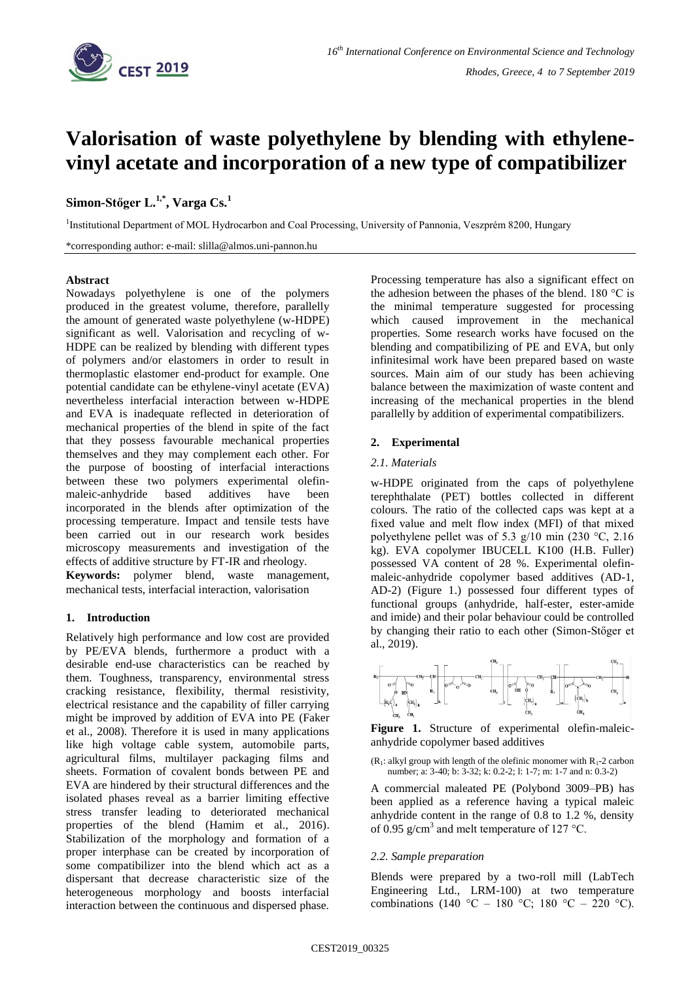

# **Valorisation of waste polyethylene by blending with ethylenevinyl acetate and incorporation of a new type of compatibilizer**

# **Simon-Stőger L.1,\* , Varga Cs.<sup>1</sup>**

<sup>1</sup>Institutional Department of MOL Hydrocarbon and Coal Processing, University of Pannonia, Veszprém 8200, Hungary

\*corresponding author: e-mail: slilla@almos.uni-pannon.hu

#### **Abstract**

Nowadays polyethylene is one of the polymers produced in the greatest volume, therefore, parallelly the amount of generated waste polyethylene (w-HDPE) significant as well. Valorisation and recycling of w-HDPE can be realized by blending with different types of polymers and/or elastomers in order to result in thermoplastic elastomer end-product for example. One potential candidate can be ethylene-vinyl acetate (EVA) nevertheless interfacial interaction between w-HDPE and EVA is inadequate reflected in deterioration of mechanical properties of the blend in spite of the fact that they possess favourable mechanical properties themselves and they may complement each other. For the purpose of boosting of interfacial interactions between these two polymers experimental olefinmaleic-anhydride based additives have been incorporated in the blends after optimization of the processing temperature. Impact and tensile tests have been carried out in our research work besides microscopy measurements and investigation of the effects of additive structure by FT-IR and rheology. **Keywords:** polymer blend, waste management, mechanical tests, interfacial interaction, valorisation

#### **1. Introduction**

Relatively high performance and low cost are provided by PE/EVA blends, furthermore a product with a desirable end-use characteristics can be reached by them. Toughness, transparency, environmental stress cracking resistance, flexibility, thermal resistivity, electrical resistance and the capability of filler carrying might be improved by addition of EVA into PE (Faker et al., 2008). Therefore it is used in many applications like high voltage cable system, automobile parts, agricultural films, multilayer packaging films and sheets. Formation of covalent bonds between PE and EVA are hindered by their structural differences and the isolated phases reveal as a barrier limiting effective stress transfer leading to deteriorated mechanical properties of the blend (Hamim et al., 2016). Stabilization of the morphology and formation of a proper interphase can be created by incorporation of some compatibilizer into the blend which act as a dispersant that decrease characteristic size of the heterogeneous morphology and boosts interfacial interaction between the continuous and dispersed phase.

Processing temperature has also a significant effect on the adhesion between the phases of the blend. 180  $\degree$ C is the minimal temperature suggested for processing which caused improvement in the mechanical properties. Some research works have focused on the blending and compatibilizing of PE and EVA, but only infinitesimal work have been prepared based on waste sources. Main aim of our study has been achieving balance between the maximization of waste content and increasing of the mechanical properties in the blend parallelly by addition of experimental compatibilizers.

#### **2. Experimental**

#### *2.1. Materials*

w-HDPE originated from the caps of polyethylene terephthalate (PET) bottles collected in different colours. The ratio of the collected caps was kept at a fixed value and melt flow index (MFI) of that mixed polyethylene pellet was of 5.3 g/10 min (230 °C, 2.16 kg). EVA copolymer IBUCELL K100 (H.B. Fuller) possessed VA content of 28 %. Experimental olefinmaleic-anhydride copolymer based additives (AD-1, AD-2) (Figure 1.) possessed four different types of functional groups (anhydride, half-ester, ester-amide and imide) and their polar behaviour could be controlled by changing their ratio to each other (Simon-Stőger et al., 2019).



Figure 1. Structure of experimental olefin-maleicanhydride copolymer based additives

 $(R<sub>1</sub>: alkyl group with length of the definite monomer with R<sub>1</sub>-2 carbon)$ number; a: 3-40; b: 3-32; k: 0.2-2; l: 1-7; m: 1-7 and n: 0.3-2)

A commercial maleated PE (Polybond 3009–PB) has been applied as a reference having a typical maleic anhydride content in the range of 0.8 to 1.2 %, density of 0.95 g/cm<sup>3</sup> and melt temperature of 127 °C.

#### *2.2. Sample preparation*

Blends were prepared by a two-roll mill (LabTech Engineering Ltd., LRM-100) at two temperature combinations (140 °C – 180 °C; 180 °C – 220 °C).